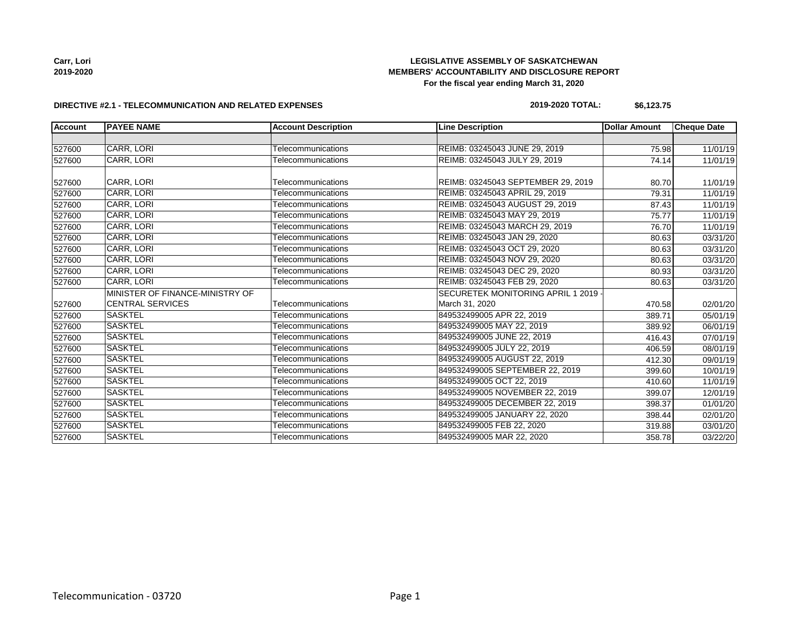**Carr, Lori 2019-2020**

# **LEGISLATIVE ASSEMBLY OF SASKATCHEWAN MEMBERS' ACCOUNTABILITY AND DISCLOSURE REPORT For the fiscal year ending March 31, 2020**

#### **DIRECTIVE #2.1 - TELECOMMUNICATION AND RELATED EXPENSES**

| 2019-2020 TOTAL: | \$6,123.75 |
|------------------|------------|
|                  |            |

| <b>Account</b> | <b>PAYEE NAME</b>               | <b>Account Description</b> | <b>Line Description</b>            | <b>Dollar Amount</b> | <b>Cheque Date</b> |
|----------------|---------------------------------|----------------------------|------------------------------------|----------------------|--------------------|
|                |                                 |                            |                                    |                      |                    |
| 527600         | <b>CARR, LORI</b>               | Telecommunications         | REIMB: 03245043 JUNE 29, 2019      | 75.98                | 11/01/19           |
| 527600         | CARR, LORI                      | Telecommunications         | REIMB: 03245043 JULY 29, 2019      | 74.14                | 11/01/19           |
| 527600         | CARR, LORI                      | Telecommunications         | REIMB: 03245043 SEPTEMBER 29, 2019 |                      | 11/01/19<br>80.70  |
| 527600         | CARR, LORI                      | Telecommunications         | REIMB: 03245043 APRIL 29, 2019     | 79.31                | 11/01/19           |
| 527600         | CARR, LORI                      | Telecommunications         | REIMB: 03245043 AUGUST 29, 2019    | 87.43                | 11/01/19           |
| 527600         | <b>CARR, LORI</b>               | Telecommunications         | REIMB: 03245043 MAY 29, 2019       | 75.77                | 11/01/19           |
| 527600         | <b>CARR, LORI</b>               | Telecommunications         | REIMB: 03245043 MARCH 29, 2019     | 76.70                | 11/01/19           |
| 527600         | CARR, LORI                      | Telecommunications         | REIMB: 03245043 JAN 29, 2020       | 80.63                | 03/31/20           |
| 527600         | CARR, LORI                      | Telecommunications         | REIMB: 03245043 OCT 29, 2020       | 80.63                | 03/31/20           |
| 527600         | CARR, LORI                      | Telecommunications         | REIMB: 03245043 NOV 29, 2020       | 80.63                | 03/31/20           |
| 527600         | <b>CARR, LORI</b>               | Telecommunications         | REIMB: 03245043 DEC 29, 2020       | 80.93                | 03/31/20           |
| 527600         | <b>CARR, LORI</b>               | Telecommunications         | REIMB: 03245043 FEB 29, 2020       | 80.63                | 03/31/20           |
|                | MINISTER OF FINANCE-MINISTRY OF |                            | SECURETEK MONITORING APRIL 1 2019  |                      |                    |
| 527600         | <b>CENTRAL SERVICES</b>         | Telecommunications         | March 31, 2020                     | 470.58               | 02/01/20           |
| 527600         | <b>SASKTEL</b>                  | Telecommunications         | 849532499005 APR 22, 2019          | 389.71               | 05/01/19           |
| 527600         | <b>SASKTEL</b>                  | Telecommunications         | 849532499005 MAY 22, 2019          | 389.92               | 06/01/19           |
| 527600         | <b>SASKTEL</b>                  | Telecommunications         | 849532499005 JUNE 22, 2019         | 416.43               | 07/01/19           |
| 527600         | <b>SASKTEL</b>                  | Telecommunications         | 849532499005 JULY 22, 2019         | 406.59               | 08/01/19           |
| 527600         | <b>SASKTEL</b>                  | Telecommunications         | 849532499005 AUGUST 22, 2019       | 412.30               | 09/01/19           |
| 527600         | <b>SASKTEL</b>                  | Telecommunications         | 849532499005 SEPTEMBER 22, 2019    | 399.60               | 10/01/19           |
| 527600         | <b>SASKTEL</b>                  | Telecommunications         | 849532499005 OCT 22, 2019          | 410.60               | 11/01/19           |
| 527600         | <b>SASKTEL</b>                  | Telecommunications         | 849532499005 NOVEMBER 22, 2019     | 399.07               | 12/01/19           |
| 527600         | <b>SASKTEL</b>                  | Telecommunications         | 849532499005 DECEMBER 22, 2019     | 398.37               | 01/01/20           |
| 527600         | <b>SASKTEL</b>                  | Telecommunications         | 849532499005 JANUARY 22, 2020      | 398.44               | 02/01/20           |
| 527600         | <b>SASKTEL</b>                  | Telecommunications         | 849532499005 FEB 22, 2020          | 319.88               | 03/01/20           |
| 527600         | <b>SASKTEL</b>                  | Telecommunications         | 849532499005 MAR 22, 2020          | 358.78               | 03/22/20           |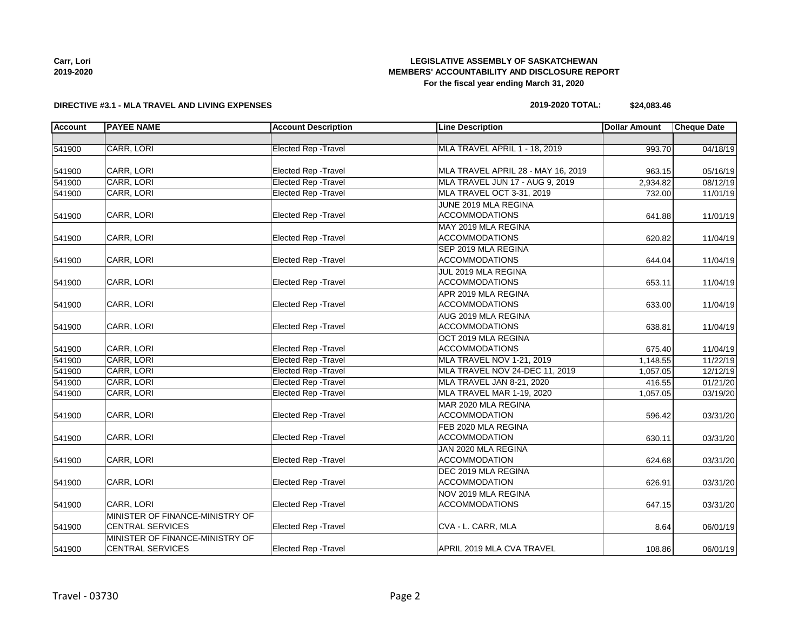## **LEGISLATIVE ASSEMBLY OF SASKATCHEWAN MEMBERS' ACCOUNTABILITY AND DISCLOSURE REPORT For the fiscal year ending March 31, 2020**

## **DIRECTIVE #3.1 - MLA TRAVEL AND LIVING EXPENSES**

# **2019-2020 TOTAL: \$24,083.46**

| <b>Account</b> | <b>PAYEE NAME</b>               | <b>Account Description</b>  | <b>Line Description</b>                       | <b>Dollar Amount</b> | <b>Cheque Date</b> |
|----------------|---------------------------------|-----------------------------|-----------------------------------------------|----------------------|--------------------|
|                |                                 |                             |                                               |                      |                    |
| 541900         | CARR, LORI                      | Elected Rep - Travel        | MLA TRAVEL APRIL 1 - 18, 2019                 | 993.70               | 04/18/19           |
| 541900         | CARR, LORI                      | Elected Rep - Travel        | MLA TRAVEL APRIL 28 - MAY 16, 2019            |                      | 05/16/19           |
| 541900         | CARR, LORI                      | <b>Elected Rep - Travel</b> | MLA TRAVEL JUN 17 - AUG 9, 2019               | 963.15<br>2,934.82   | 08/12/19           |
| 541900         | CARR, LORI                      | <b>Elected Rep - Travel</b> | MLA TRAVEL OCT 3-31, 2019                     | 732.00               |                    |
|                |                                 |                             |                                               |                      | 11/01/19           |
| 541900         | CARR, LORI                      | <b>Elected Rep - Travel</b> | JUNE 2019 MLA REGINA<br><b>ACCOMMODATIONS</b> | 641.88               | 11/01/19           |
|                |                                 |                             | MAY 2019 MLA REGINA                           |                      |                    |
| 541900         | CARR, LORI                      | Elected Rep - Travel        | <b>ACCOMMODATIONS</b>                         | 620.82               |                    |
|                |                                 |                             | SEP 2019 MLA REGINA                           |                      | 11/04/19           |
|                |                                 |                             |                                               |                      |                    |
| 541900         | CARR, LORI                      | Elected Rep - Travel        | <b>ACCOMMODATIONS</b>                         | 644.04               | 11/04/19           |
|                |                                 |                             | JUL 2019 MLA REGINA                           |                      |                    |
| 541900         | CARR, LORI                      | <b>Elected Rep - Travel</b> | <b>ACCOMMODATIONS</b>                         | 653.11               | 11/04/19           |
|                |                                 |                             | APR 2019 MLA REGINA                           |                      |                    |
| 541900         | CARR, LORI                      | Elected Rep - Travel        | <b>ACCOMMODATIONS</b>                         | 633.00               | 11/04/19           |
|                |                                 |                             | AUG 2019 MLA REGINA                           |                      |                    |
| 541900         | CARR, LORI                      | <b>Elected Rep - Travel</b> | <b>ACCOMMODATIONS</b>                         | 638.81               | 11/04/19           |
|                |                                 |                             | OCT 2019 MLA REGINA                           |                      |                    |
| 541900         | CARR, LORI                      | Elected Rep - Travel        | <b>ACCOMMODATIONS</b>                         | 675.40               | 11/04/19           |
| 541900         | CARR, LORI                      | Elected Rep - Travel        | MLA TRAVEL NOV 1-21, 2019                     | 1,148.55             | 11/22/19           |
| 541900         | CARR, LORI                      | <b>Elected Rep - Travel</b> | MLA TRAVEL NOV 24-DEC 11, 2019                | 1,057.05             | 12/12/19           |
| 541900         | CARR, LORI                      | <b>Elected Rep - Travel</b> | MLA TRAVEL JAN 8-21, 2020                     | 416.55               | 01/21/20           |
| 541900         | CARR, LORI                      | Elected Rep - Travel        | MLA TRAVEL MAR 1-19, 2020                     | 1,057.05             | 03/19/20           |
|                |                                 |                             | MAR 2020 MLA REGINA                           |                      |                    |
| 541900         | CARR, LORI                      | Elected Rep - Travel        | <b>ACCOMMODATION</b>                          | 596.42               | 03/31/20           |
|                |                                 |                             | FEB 2020 MLA REGINA                           |                      |                    |
| 541900         | CARR, LORI                      | <b>Elected Rep - Travel</b> | <b>ACCOMMODATION</b>                          | 630.11               | 03/31/20           |
|                |                                 |                             | JAN 2020 MLA REGINA                           |                      |                    |
| 541900         | CARR, LORI                      | Elected Rep - Travel        | <b>ACCOMMODATION</b>                          | 624.68               | 03/31/20           |
|                |                                 |                             | DEC 2019 MLA REGINA                           |                      |                    |
| 541900         | CARR, LORI                      | <b>Elected Rep - Travel</b> | <b>ACCOMMODATION</b>                          | 626.91               | 03/31/20           |
|                |                                 |                             | NOV 2019 MLA REGINA                           |                      |                    |
| 541900         | CARR, LORI                      | <b>Elected Rep - Travel</b> | <b>ACCOMMODATIONS</b>                         | 647.15               | 03/31/20           |
|                | MINISTER OF FINANCE-MINISTRY OF |                             |                                               |                      |                    |
| 541900         | <b>CENTRAL SERVICES</b>         | <b>Elected Rep - Travel</b> | CVA - L. CARR, MLA                            | 8.64                 | 06/01/19           |
|                | MINISTER OF FINANCE-MINISTRY OF |                             |                                               |                      |                    |
| 541900         | <b>CENTRAL SERVICES</b>         | <b>Elected Rep - Travel</b> | APRIL 2019 MLA CVA TRAVEL                     | 108.86               | 06/01/19           |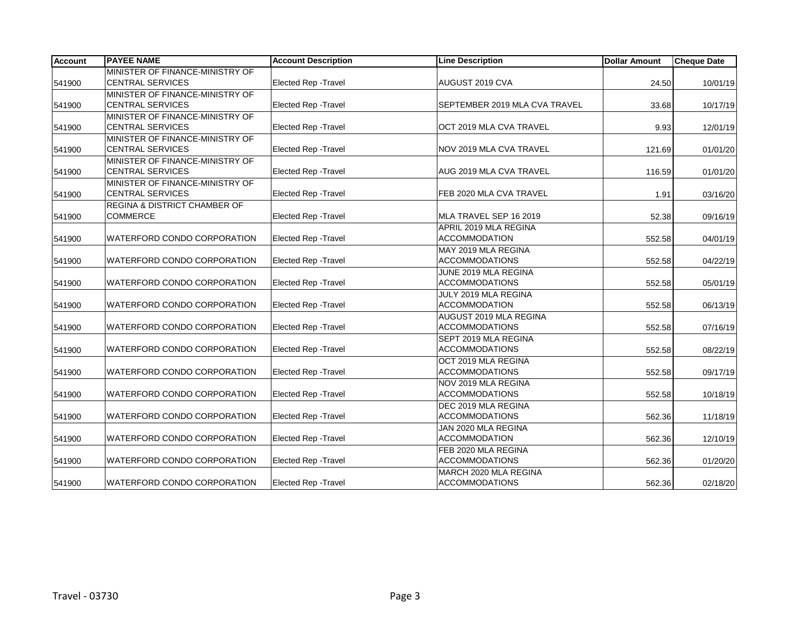| <b>Account</b> | <b>PAYEE NAME</b>               | <b>Account Description</b>  | <b>Line Description</b>       | <b>Dollar Amount</b> | <b>Cheque Date</b> |
|----------------|---------------------------------|-----------------------------|-------------------------------|----------------------|--------------------|
|                | MINISTER OF FINANCE-MINISTRY OF |                             |                               |                      |                    |
| 541900         | <b>CENTRAL SERVICES</b>         | Elected Rep - Travel        | AUGUST 2019 CVA               | 24.50                | 10/01/19           |
|                | MINISTER OF FINANCE-MINISTRY OF |                             |                               |                      |                    |
| 541900         | <b>CENTRAL SERVICES</b>         | <b>Elected Rep - Travel</b> | SEPTEMBER 2019 MLA CVA TRAVEL | 33.68                | 10/17/19           |
|                | MINISTER OF FINANCE-MINISTRY OF |                             |                               |                      |                    |
| 541900         | <b>CENTRAL SERVICES</b>         | <b>Elected Rep - Travel</b> | OCT 2019 MLA CVA TRAVEL       | 9.93                 | 12/01/19           |
|                | MINISTER OF FINANCE-MINISTRY OF |                             |                               |                      |                    |
| 541900         | <b>CENTRAL SERVICES</b>         | <b>Elected Rep - Travel</b> | NOV 2019 MLA CVA TRAVEL       | 121.69               | 01/01/20           |
|                | MINISTER OF FINANCE-MINISTRY OF |                             |                               |                      |                    |
| 541900         | <b>CENTRAL SERVICES</b>         | Elected Rep - Travel        | AUG 2019 MLA CVA TRAVEL       | 116.59               | 01/01/20           |
|                | MINISTER OF FINANCE-MINISTRY OF |                             |                               |                      |                    |
| 541900         | <b>CENTRAL SERVICES</b>         | <b>Elected Rep - Travel</b> | FEB 2020 MLA CVA TRAVEL       | 1.91                 | 03/16/20           |
|                | REGINA & DISTRICT CHAMBER OF    |                             |                               |                      |                    |
| 541900         | <b>COMMERCE</b>                 | <b>Elected Rep - Travel</b> | MLA TRAVEL SEP 16 2019        | 52.38                | 09/16/19           |
|                |                                 |                             | APRIL 2019 MLA REGINA         |                      |                    |
| 541900         | WATERFORD CONDO CORPORATION     | Elected Rep - Travel        | <b>ACCOMMODATION</b>          | 552.58               | 04/01/19           |
|                |                                 |                             | MAY 2019 MLA REGINA           |                      |                    |
| 541900         | WATERFORD CONDO CORPORATION     | <b>Elected Rep - Travel</b> | <b>ACCOMMODATIONS</b>         | 552.58               | 04/22/19           |
|                |                                 |                             | JUNE 2019 MLA REGINA          |                      |                    |
| 541900         | WATERFORD CONDO CORPORATION     | <b>Elected Rep - Travel</b> | <b>ACCOMMODATIONS</b>         | 552.58               | 05/01/19           |
|                |                                 |                             | JULY 2019 MLA REGINA          |                      |                    |
| 541900         | WATERFORD CONDO CORPORATION     | Elected Rep - Travel        | <b>ACCOMMODATION</b>          | 552.58               | 06/13/19           |
|                |                                 |                             | AUGUST 2019 MLA REGINA        |                      |                    |
| 541900         | WATERFORD CONDO CORPORATION     | <b>Elected Rep - Travel</b> | <b>ACCOMMODATIONS</b>         | 552.58               | 07/16/19           |
|                |                                 |                             | SEPT 2019 MLA REGINA          |                      |                    |
| 541900         | WATERFORD CONDO CORPORATION     | Elected Rep - Travel        | <b>ACCOMMODATIONS</b>         | 552.58               | 08/22/19           |
|                |                                 |                             | OCT 2019 MLA REGINA           |                      |                    |
| 541900         | WATERFORD CONDO CORPORATION     | <b>Elected Rep - Travel</b> | <b>ACCOMMODATIONS</b>         | 552.58               | 09/17/19           |
|                |                                 |                             | NOV 2019 MLA REGINA           |                      |                    |
| 541900         | WATERFORD CONDO CORPORATION     | <b>Elected Rep - Travel</b> | <b>ACCOMMODATIONS</b>         | 552.58               | 10/18/19           |
|                |                                 |                             | DEC 2019 MLA REGINA           |                      |                    |
| 541900         | WATERFORD CONDO CORPORATION     | Elected Rep - Travel        | <b>ACCOMMODATIONS</b>         | 562.36               | 11/18/19           |
|                |                                 |                             | JAN 2020 MLA REGINA           |                      |                    |
| 541900         | WATERFORD CONDO CORPORATION     | Elected Rep - Travel        | <b>ACCOMMODATION</b>          | 562.36               | 12/10/19           |
|                |                                 |                             | FEB 2020 MLA REGINA           |                      |                    |
| 541900         | WATERFORD CONDO CORPORATION     | <b>Elected Rep - Travel</b> | <b>ACCOMMODATIONS</b>         | 562.36               | 01/20/20           |
|                |                                 |                             | MARCH 2020 MLA REGINA         |                      |                    |
| 541900         | WATERFORD CONDO CORPORATION     | <b>Elected Rep - Travel</b> | <b>ACCOMMODATIONS</b>         | 562.36               | 02/18/20           |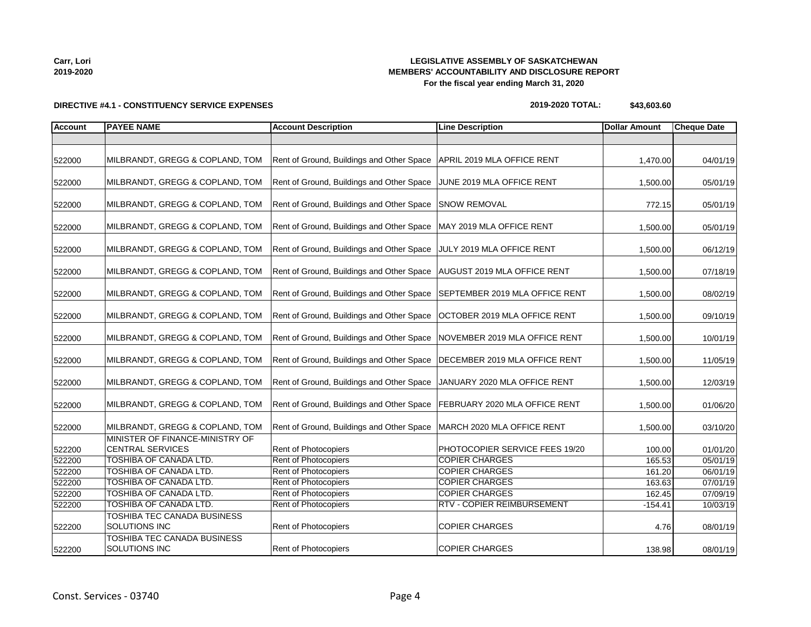522200

522200

522200

**Carr, Lori 2019-2020**

### **LEGISLATIVE ASSEMBLY OF SASKATCHEWAN MEMBERS' ACCOUNTABILITY AND DISCLOSURE REPORT For the fiscal year ending March 31, 2020**

MINISTER OF FINANCE-MINISTRY OF

TOSHIBA TEC CANADA BUSINESS

TOSHIBA TEC CANADA BUSINESS

| <b>Account</b> | <b>PAYEE NAME</b>               | <b>Account Description</b>                                               | <b>Line Description</b>        | Dollar Amount | <b>Cheque Date</b> |
|----------------|---------------------------------|--------------------------------------------------------------------------|--------------------------------|---------------|--------------------|
|                |                                 |                                                                          |                                |               |                    |
| 522000         | MILBRANDT, GREGG & COPLAND, TOM | Rent of Ground, Buildings and Other Space                                | APRIL 2019 MLA OFFICE RENT     | 1,470.00      | 04/01/19           |
| 522000         | MILBRANDT, GREGG & COPLAND, TOM | Rent of Ground, Buildings and Other Space                                | JUNE 2019 MLA OFFICE RENT      | 1,500.00      | 05/01/19           |
| 522000         | MILBRANDT, GREGG & COPLAND, TOM | Rent of Ground, Buildings and Other Space                                | <b>SNOW REMOVAL</b>            | 772.15        | 05/01/19           |
| 522000         | MILBRANDT, GREGG & COPLAND, TOM | Rent of Ground, Buildings and Other Space                                | MAY 2019 MLA OFFICE RENT       | 1,500.00      | 05/01/19           |
| 522000         | MILBRANDT, GREGG & COPLAND, TOM | Rent of Ground, Buildings and Other Space   JULY 2019 MLA OFFICE RENT    |                                | 1,500.00      | 06/12/19           |
| 522000         | MILBRANDT, GREGG & COPLAND, TOM | Rent of Ground, Buildings and Other Space   AUGUST 2019 MLA OFFICE RENT  |                                | 1,500.00      | 07/18/19           |
| 522000         | MILBRANDT, GREGG & COPLAND, TOM | Rent of Ground, Buildings and Other Space SEPTEMBER 2019 MLA OFFICE RENT |                                | 1,500.00      | 08/02/19           |
| 522000         | MILBRANDT, GREGG & COPLAND, TOM | Rent of Ground, Buildings and Other Space   OCTOBER 2019 MLA OFFICE RENT |                                | 1,500.00      | 09/10/19           |
| 522000         | MILBRANDT, GREGG & COPLAND, TOM | Rent of Ground, Buildings and Other Space                                | INOVEMBER 2019 MLA OFFICE RENT | 1,500.00      | 10/01/19           |
|                |                                 |                                                                          |                                |               |                    |

#### **DIRECTIVE #4.1 - CONSTITUENCY SERVICE EXPENSES**

522000 | MILBRANDT, GREGG & COPLAND, TOM | Rent of Ground, Buildings and Other Space | DECEMBER 2019 MLA OFFICE RENT | 1,500.00 11/05/19

522000 | MILBRANDT, GREGG & COPLAND, TOM | Rent of Ground, Buildings and Other Space | JANUARY 2020 MLA OFFICE RENT | 1,500.00 | 12/03/19

522000 | MILBRANDT, GREGG & COPLAND, TOM | Rent of Ground, Buildings and Other Space | FEBRUARY 2020 MLA OFFICE RENT | 1,500.00 01/06/20

522000 | MILBRANDT, GREGG & COPLAND, TOM | Rent of Ground, Buildings and Other Space | MARCH 2020 MLA OFFICE RENT | 1,500.00 03/10/20

522200 TOSHIBA OF CANADA LTD. Rent of Photocopiers COPIER CHARGES 165.53 05/01/19 522200 TOSHIBA OF CANADA LTD. Rent of Photocopiers COPIER CHARGES 161.20 06/01/19 522200 TOSHIBA OF CANADA LTD. Rent of Photocopiers COPIER CHARGES 163.63 07/01/19 522200 TOSHIBA OF CANADA LTD. Rent of Photocopiers COPIER CHARGES 162.45 07/09/19 522200 TOSHIBA OF CANADA LTD. Rent of Photocopiers RTV - COPIER REIMBURSEMENT -154.41 10/03/19

CENTRAL SERVICES **Rent of Photocopiers** PHOTOCOPIER SERVICE FEES 19/20 100.00 1/01/20

SOLUTIONS INC **Rent of Photocopiers** COPIER CHARGES 2001/19 **Rent of Photocopiers** COPIER CHARGES

SOLUTIONS INC **Rent of Photocopiers** COPIER CHARGES 2001/19 28/01/19

**2019-2020 TOTAL: \$43,603.60**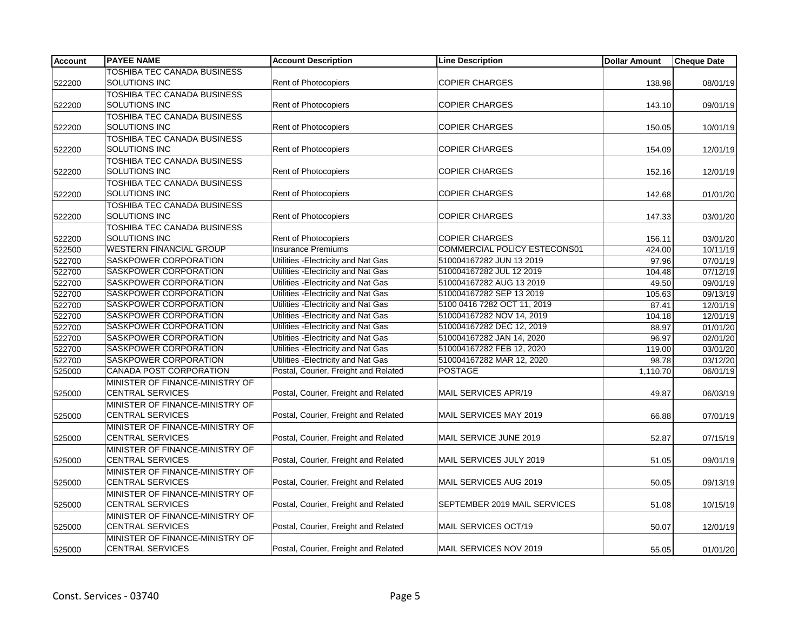| <b>Account</b> | <b>PAYEE NAME</b>                  | <b>Account Description</b>           | <b>Line Description</b>             | <b>Dollar Amount</b> | <b>Cheque Date</b> |
|----------------|------------------------------------|--------------------------------------|-------------------------------------|----------------------|--------------------|
|                | TOSHIBA TEC CANADA BUSINESS        |                                      |                                     |                      |                    |
| 522200         | SOLUTIONS INC                      | Rent of Photocopiers                 | <b>COPIER CHARGES</b>               | 138.98               | 08/01/19           |
|                | TOSHIBA TEC CANADA BUSINESS        |                                      |                                     |                      |                    |
| 522200         | SOLUTIONS INC                      | <b>Rent of Photocopiers</b>          | <b>COPIER CHARGES</b>               | 143.10               | 09/01/19           |
|                | TOSHIBA TEC CANADA BUSINESS        |                                      |                                     |                      |                    |
| 522200         | SOLUTIONS INC                      | Rent of Photocopiers                 | <b>COPIER CHARGES</b>               | 150.05               | 10/01/19           |
|                | <b>TOSHIBA TEC CANADA BUSINESS</b> |                                      |                                     |                      |                    |
| 522200         | SOLUTIONS INC                      | Rent of Photocopiers                 | <b>COPIER CHARGES</b>               | 154.09               | 12/01/19           |
|                | TOSHIBA TEC CANADA BUSINESS        |                                      |                                     |                      |                    |
| 522200         | SOLUTIONS INC                      | <b>Rent of Photocopiers</b>          | <b>COPIER CHARGES</b>               | 152.16               | 12/01/19           |
|                | TOSHIBA TEC CANADA BUSINESS        |                                      |                                     |                      |                    |
| 522200         | SOLUTIONS INC                      | Rent of Photocopiers                 | <b>COPIER CHARGES</b>               | 142.68               | 01/01/20           |
|                | TOSHIBA TEC CANADA BUSINESS        |                                      |                                     |                      |                    |
| 522200         | <b>SOLUTIONS INC</b>               | <b>Rent of Photocopiers</b>          | <b>COPIER CHARGES</b>               | 147.33               | 03/01/20           |
|                | TOSHIBA TEC CANADA BUSINESS        |                                      |                                     |                      |                    |
| 522200         | SOLUTIONS INC                      | <b>Rent of Photocopiers</b>          | <b>COPIER CHARGES</b>               | 156.11               | 03/01/20           |
| 522500         | <b>WESTERN FINANCIAL GROUP</b>     | <b>Insurance Premiums</b>            | <b>COMMERCIAL POLICY ESTECONS01</b> | 424.00               | 10/11/19           |
| 522700         | SASKPOWER CORPORATION              | Utilities - Electricity and Nat Gas  | 510004167282 JUN 13 2019            | 97.96                | 07/01/19           |
| 522700         | SASKPOWER CORPORATION              | Utilities - Electricity and Nat Gas  | 510004167282 JUL 12 2019            | 104.48               | 07/12/19           |
| 522700         | SASKPOWER CORPORATION              | Utilities - Electricity and Nat Gas  | 510004167282 AUG 13 2019            | 49.50                | 09/01/19           |
| 522700         | SASKPOWER CORPORATION              | Utilities - Electricity and Nat Gas  | 510004167282 SEP 13 2019            | 105.63               | 09/13/19           |
| 522700         | SASKPOWER CORPORATION              | Utilities - Electricity and Nat Gas  | 5100 0416 7282 OCT 11, 2019         | 87.41                | 12/01/19           |
| 522700         | <b>SASKPOWER CORPORATION</b>       | Utilities - Electricity and Nat Gas  | 510004167282 NOV 14, 2019           | 104.18               | 12/01/19           |
| 522700         | SASKPOWER CORPORATION              | Utilities - Electricity and Nat Gas  | 510004167282 DEC 12, 2019           | 88.97                | 01/01/20           |
| 522700         | SASKPOWER CORPORATION              | Utilities - Electricity and Nat Gas  | 510004167282 JAN 14, 2020           | 96.97                | 02/01/20           |
| 522700         | SASKPOWER CORPORATION              | Utilities - Electricity and Nat Gas  | 510004167282 FEB 12, 2020           | 119.00               | 03/01/20           |
| 522700         | SASKPOWER CORPORATION              | Utilities - Electricity and Nat Gas  | 510004167282 MAR 12, 2020           | 98.78                | 03/12/20           |
| 525000         | CANADA POST CORPORATION            | Postal, Courier, Freight and Related | <b>POSTAGE</b>                      | 1,110.70             | 06/01/19           |
|                | MINISTER OF FINANCE-MINISTRY OF    |                                      |                                     |                      |                    |
| 525000         | <b>CENTRAL SERVICES</b>            | Postal, Courier, Freight and Related | MAIL SERVICES APR/19                | 49.87                | 06/03/19           |
|                | MINISTER OF FINANCE-MINISTRY OF    |                                      |                                     |                      |                    |
| 525000         | <b>CENTRAL SERVICES</b>            | Postal, Courier, Freight and Related | MAIL SERVICES MAY 2019              | 66.88                | 07/01/19           |
|                | MINISTER OF FINANCE-MINISTRY OF    |                                      |                                     |                      |                    |
| 525000         | <b>CENTRAL SERVICES</b>            | Postal, Courier, Freight and Related | MAIL SERVICE JUNE 2019              | 52.87                | 07/15/19           |
|                | MINISTER OF FINANCE-MINISTRY OF    |                                      |                                     |                      |                    |
| 525000         | <b>CENTRAL SERVICES</b>            | Postal, Courier, Freight and Related | MAIL SERVICES JULY 2019             | 51.05                | 09/01/19           |
|                | MINISTER OF FINANCE-MINISTRY OF    |                                      |                                     |                      |                    |
| 525000         | <b>CENTRAL SERVICES</b>            | Postal, Courier, Freight and Related | MAIL SERVICES AUG 2019              | 50.05                | 09/13/19           |
|                | MINISTER OF FINANCE-MINISTRY OF    |                                      |                                     |                      |                    |
| 525000         | <b>CENTRAL SERVICES</b>            | Postal, Courier, Freight and Related | SEPTEMBER 2019 MAIL SERVICES        | 51.08                | 10/15/19           |
|                | MINISTER OF FINANCE-MINISTRY OF    |                                      |                                     |                      |                    |
| 525000         | <b>CENTRAL SERVICES</b>            | Postal, Courier, Freight and Related | MAIL SERVICES OCT/19                | 50.07                | 12/01/19           |
|                | MINISTER OF FINANCE-MINISTRY OF    |                                      |                                     |                      |                    |
| 525000         | <b>CENTRAL SERVICES</b>            | Postal, Courier, Freight and Related | MAIL SERVICES NOV 2019              | 55.05                | 01/01/20           |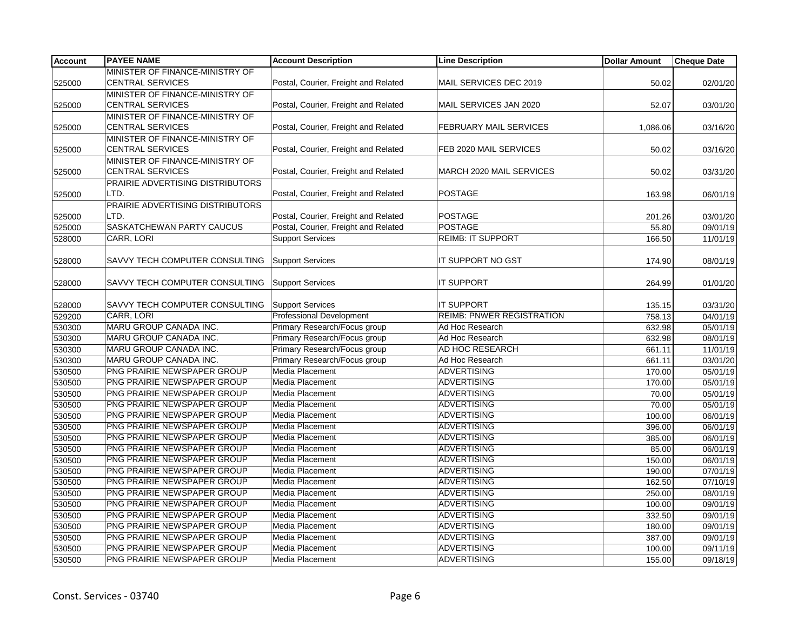| <b>Account</b> | <b>PAYEE NAME</b>                | <b>Account Description</b>           | <b>Line Description</b>          | <b>Dollar Amount</b> | <b>Cheque Date</b> |
|----------------|----------------------------------|--------------------------------------|----------------------------------|----------------------|--------------------|
|                | MINISTER OF FINANCE-MINISTRY OF  |                                      |                                  |                      |                    |
| 525000         | <b>CENTRAL SERVICES</b>          | Postal, Courier, Freight and Related | MAIL SERVICES DEC 2019           | 50.02                | 02/01/20           |
|                | MINISTER OF FINANCE-MINISTRY OF  |                                      |                                  |                      |                    |
| 525000         | CENTRAL SERVICES                 | Postal, Courier, Freight and Related | MAIL SERVICES JAN 2020           | 52.07                | 03/01/20           |
|                | MINISTER OF FINANCE-MINISTRY OF  |                                      |                                  |                      |                    |
| 525000         | <b>CENTRAL SERVICES</b>          | Postal, Courier, Freight and Related | <b>FEBRUARY MAIL SERVICES</b>    | 1,086.06             | 03/16/20           |
|                | MINISTER OF FINANCE-MINISTRY OF  |                                      |                                  |                      |                    |
| 525000         | <b>CENTRAL SERVICES</b>          | Postal, Courier, Freight and Related | FEB 2020 MAIL SERVICES           | 50.02                | 03/16/20           |
|                | MINISTER OF FINANCE-MINISTRY OF  |                                      |                                  |                      |                    |
| 525000         | <b>CENTRAL SERVICES</b>          | Postal, Courier, Freight and Related | MARCH 2020 MAIL SERVICES         | 50.02                | 03/31/20           |
|                | PRAIRIE ADVERTISING DISTRIBUTORS |                                      |                                  |                      |                    |
| 525000         | LTD.                             | Postal, Courier, Freight and Related | <b>POSTAGE</b>                   | 163.98               | 06/01/19           |
|                | PRAIRIE ADVERTISING DISTRIBUTORS |                                      |                                  |                      |                    |
| 525000         | LTD.                             | Postal, Courier, Freight and Related | <b>POSTAGE</b>                   | 201.26               | 03/01/20           |
| 525000         | SASKATCHEWAN PARTY CAUCUS        | Postal, Courier, Freight and Related | <b>POSTAGE</b>                   | 55.80                | 09/01/19           |
| 528000         | <b>CARR, LORI</b>                | <b>Support Services</b>              | <b>REIMB: IT SUPPORT</b>         | 166.50               | 11/01/19           |
|                |                                  |                                      |                                  |                      |                    |
| 528000         | SAVVY TECH COMPUTER CONSULTING   | <b>Support Services</b>              | IT SUPPORT NO GST                | 174.90               | 08/01/19           |
|                |                                  |                                      |                                  |                      |                    |
| 528000         | SAVVY TECH COMPUTER CONSULTING   | <b>Support Services</b>              | <b>IT SUPPORT</b>                | 264.99               | 01/01/20           |
|                |                                  |                                      |                                  |                      |                    |
| 528000         | SAVVY TECH COMPUTER CONSULTING   | <b>Support Services</b>              | <b>IT SUPPORT</b>                | 135.15               | 03/31/20           |
| 529200         | <b>CARR, LORI</b>                | <b>Professional Development</b>      | <b>REIMB: PNWER REGISTRATION</b> | 758.13               | 04/01/19           |
| 530300         | MARU GROUP CANADA INC.           | Primary Research/Focus group         | Ad Hoc Research                  | 632.98               | 05/01/19           |
| 530300         | MARU GROUP CANADA INC.           | Primary Research/Focus group         | Ad Hoc Research                  | 632.98               | 08/01/19           |
| 530300         | MARU GROUP CANADA INC.           | Primary Research/Focus group         | AD HOC RESEARCH                  | 661.11               | 11/01/19           |
| 530300         | MARU GROUP CANADA INC.           | Primary Research/Focus group         | Ad Hoc Research                  | 661.11               | 03/01/20           |
| 530500         | PNG PRAIRIE NEWSPAPER GROUP      | Media Placement                      | <b>ADVERTISING</b>               | 170.00               | 05/01/19           |
| 530500         | PNG PRAIRIE NEWSPAPER GROUP      | Media Placement                      | <b>ADVERTISING</b>               | 170.00               | 05/01/19           |
| 530500         | PNG PRAIRIE NEWSPAPER GROUP      | Media Placement                      | <b>ADVERTISING</b>               | 70.00                | 05/01/19           |
| 530500         | PNG PRAIRIE NEWSPAPER GROUP      | Media Placement                      | <b>ADVERTISING</b>               | 70.00                | 05/01/19           |
| 530500         | PNG PRAIRIE NEWSPAPER GROUP      | Media Placement                      | <b>ADVERTISING</b>               | 100.00               | 06/01/19           |
| 530500         | PNG PRAIRIE NEWSPAPER GROUP      | Media Placement                      | <b>ADVERTISING</b>               | 396.00               | 06/01/19           |
| 530500         | PNG PRAIRIE NEWSPAPER GROUP      | <b>Media Placement</b>               | <b>ADVERTISING</b>               | 385.00               | 06/01/19           |
| 530500         | PNG PRAIRIE NEWSPAPER GROUP      | <b>Media Placement</b>               | <b>ADVERTISING</b>               | 85.00                | 06/01/19           |
| 530500         | PNG PRAIRIE NEWSPAPER GROUP      | Media Placement                      | <b>ADVERTISING</b>               | 150.00               | 06/01/19           |
| 530500         | PNG PRAIRIE NEWSPAPER GROUP      | <b>Media Placement</b>               | <b>ADVERTISING</b>               | 190.00               | 07/01/19           |
| 530500         | PNG PRAIRIE NEWSPAPER GROUP      | <b>Media Placement</b>               | <b>ADVERTISING</b>               | 162.50               | 07/10/19           |
| 530500         | PNG PRAIRIE NEWSPAPER GROUP      | <b>Media Placement</b>               | <b>ADVERTISING</b>               | 250.00               | 08/01/19           |
| 530500         | PNG PRAIRIE NEWSPAPER GROUP      | <b>Media Placement</b>               | <b>ADVERTISING</b>               | 100.00               | 09/01/19           |
| 530500         | PNG PRAIRIE NEWSPAPER GROUP      | Media Placement                      | <b>ADVERTISING</b>               | 332.50               | 09/01/19           |
| 530500         | PNG PRAIRIE NEWSPAPER GROUP      | <b>Media Placement</b>               | <b>ADVERTISING</b>               | 180.00               | 09/01/19           |
| 530500         | PNG PRAIRIE NEWSPAPER GROUP      | Media Placement                      | <b>ADVERTISING</b>               | 387.00               | 09/01/19           |
| 530500         | PNG PRAIRIE NEWSPAPER GROUP      | Media Placement                      | <b>ADVERTISING</b>               | 100.00               | 09/11/19           |
| 530500         | PNG PRAIRIE NEWSPAPER GROUP      | <b>Media Placement</b>               | <b>ADVERTISING</b>               | 155.00               | 09/18/19           |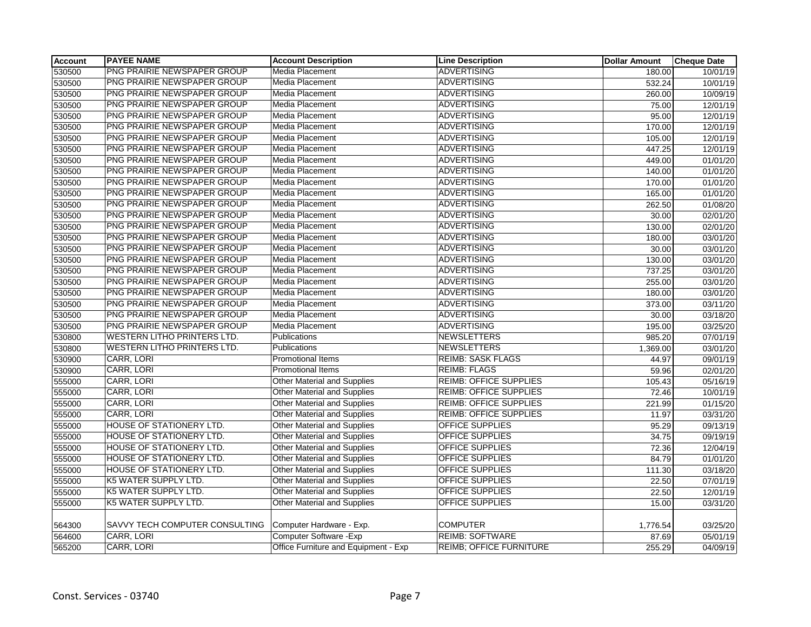| <b>Account</b> | <b>PAYEE NAME</b>                  | <b>Account Description</b>           | <b>Line Description</b>        | <b>Dollar Amount</b> | <b>Cheque Date</b>    |
|----------------|------------------------------------|--------------------------------------|--------------------------------|----------------------|-----------------------|
| 530500         | PNG PRAIRIE NEWSPAPER GROUP        | Media Placement                      | <b>ADVERTISING</b>             | 180.00               | 10/01/19              |
| 530500         | PNG PRAIRIE NEWSPAPER GROUP        | <b>Media Placement</b>               | <b>ADVERTISING</b>             | 532.24               | 10/01/19              |
| 530500         | PNG PRAIRIE NEWSPAPER GROUP        | Media Placement                      | <b>ADVERTISING</b>             | 260.00               | 10/09/19              |
| 530500         | PNG PRAIRIE NEWSPAPER GROUP        | Media Placement                      | <b>ADVERTISING</b>             | 75.00                | 12/01/19              |
| 530500         | PNG PRAIRIE NEWSPAPER GROUP        | Media Placement                      | <b>ADVERTISING</b>             | 95.00                | 12/01/19              |
| 530500         | PNG PRAIRIE NEWSPAPER GROUP        | Media Placement                      | <b>ADVERTISING</b>             | 170.00               | 12/01/19              |
| 530500         | PNG PRAIRIE NEWSPAPER GROUP        | Media Placement                      | <b>ADVERTISING</b>             | 105.00               | 12/01/19              |
| 530500         | PNG PRAIRIE NEWSPAPER GROUP        | <b>Media Placement</b>               | <b>ADVERTISING</b>             | 447.25               | 12/01/19              |
| 530500         | PNG PRAIRIE NEWSPAPER GROUP        | Media Placement                      | <b>ADVERTISING</b>             | 449.00               | 01/01/20              |
| 530500         | PNG PRAIRIE NEWSPAPER GROUP        | Media Placement                      | <b>ADVERTISING</b>             | 140.00               | 01/01/20              |
| 530500         | PNG PRAIRIE NEWSPAPER GROUP        | Media Placement                      | <b>ADVERTISING</b>             | 170.00               | 01/01/20              |
| 530500         | PNG PRAIRIE NEWSPAPER GROUP        | Media Placement                      | <b>ADVERTISING</b>             | 165.00               | 01/01/20              |
| 530500         | PNG PRAIRIE NEWSPAPER GROUP        | Media Placement                      | <b>ADVERTISING</b>             | 262.50               | 01/08/20              |
| 530500         | PNG PRAIRIE NEWSPAPER GROUP        | Media Placement                      | <b>ADVERTISING</b>             | 30.00                | 02/01/20              |
| 530500         | PNG PRAIRIE NEWSPAPER GROUP        | Media Placement                      | <b>ADVERTISING</b>             | 130.00               | 02/01/20              |
| 530500         | PNG PRAIRIE NEWSPAPER GROUP        | Media Placement                      | <b>ADVERTISING</b>             | 180.00               | 03/01/20              |
| 530500         | PNG PRAIRIE NEWSPAPER GROUP        | Media Placement                      | <b>ADVERTISING</b>             | 30.00                | 03/01/20              |
| 530500         | PNG PRAIRIE NEWSPAPER GROUP        | Media Placement                      | <b>ADVERTISING</b>             | 130.00               | 03/01/20              |
| 530500         | PNG PRAIRIE NEWSPAPER GROUP        | Media Placement                      | <b>ADVERTISING</b>             | 737.25               | 03/01/20              |
| 530500         | PNG PRAIRIE NEWSPAPER GROUP        | Media Placement                      | <b>ADVERTISING</b>             | 255.00               | 03/01/20              |
| 530500         | PNG PRAIRIE NEWSPAPER GROUP        | Media Placement                      | <b>ADVERTISING</b>             | 180.00               | 03/01/20              |
| 530500         | PNG PRAIRIE NEWSPAPER GROUP        | Media Placement                      | <b>ADVERTISING</b>             | 373.00               | 03/11/20              |
| 530500         | PNG PRAIRIE NEWSPAPER GROUP        | <b>Media Placement</b>               | <b>ADVERTISING</b>             | 30.00                | 03/18/20              |
| 530500         | PNG PRAIRIE NEWSPAPER GROUP        | Media Placement                      | <b>ADVERTISING</b>             | 195.00               | 03/25/20              |
| 530800         | <b>WESTERN LITHO PRINTERS LTD.</b> | Publications                         | <b>NEWSLETTERS</b>             | 985.20               | 07/01/19              |
| 530800         | <b>WESTERN LITHO PRINTERS LTD.</b> | Publications                         | NEWSLETTERS                    | 1,369.00             | 03/01/20              |
| 530900         | CARR, LORI                         | <b>Promotional Items</b>             | <b>REIMB: SASK FLAGS</b>       | 44.97                | 09/01/19              |
| 530900         | CARR, LORI                         | Promotional Items                    | <b>REIMB: FLAGS</b>            | 59.96                | 02/01/20              |
| 555000         | CARR, LORI                         | <b>Other Material and Supplies</b>   | <b>REIMB: OFFICE SUPPLIES</b>  | 105.43               | 05/16/19              |
| 555000         | CARR, LORI                         | <b>Other Material and Supplies</b>   | <b>REIMB: OFFICE SUPPLIES</b>  | 72.46                | 10/01/19              |
| 555000         | CARR, LORI                         | <b>Other Material and Supplies</b>   | <b>REIMB: OFFICE SUPPLIES</b>  | 221.99               | 01/15/20              |
| 555000         | CARR, LORI                         | <b>Other Material and Supplies</b>   | <b>REIMB: OFFICE SUPPLIES</b>  | 11.97                | 03/31/20              |
| 555000         | <b>HOUSE OF STATIONERY LTD.</b>    | <b>Other Material and Supplies</b>   | <b>OFFICE SUPPLIES</b>         | 95.29                | 09/13/19              |
| 555000         | HOUSE OF STATIONERY LTD.           | <b>Other Material and Supplies</b>   | <b>OFFICE SUPPLIES</b>         | 34.75                | 09/19/19              |
| 555000         | HOUSE OF STATIONERY LTD.           | <b>Other Material and Supplies</b>   | <b>OFFICE SUPPLIES</b>         | 72.36                | 12/04/19              |
| 555000         | <b>HOUSE OF STATIONERY LTD.</b>    | <b>Other Material and Supplies</b>   | <b>OFFICE SUPPLIES</b>         | 84.79                | $\overline{01/01/20}$ |
| 555000         | <b>HOUSE OF STATIONERY LTD.</b>    | <b>Other Material and Supplies</b>   | <b>OFFICE SUPPLIES</b>         | 111.30               | 03/18/20              |
| 555000         | K5 WATER SUPPLY LTD.               | <b>Other Material and Supplies</b>   | <b>OFFICE SUPPLIES</b>         | 22.50                | 07/01/19              |
| 555000         | K5 WATER SUPPLY LTD.               | <b>Other Material and Supplies</b>   | <b>OFFICE SUPPLIES</b>         | 22.50                | 12/01/19              |
| 555000         | K5 WATER SUPPLY LTD.               | Other Material and Supplies          | <b>OFFICE SUPPLIES</b>         | 15.00                | 03/31/20              |
|                |                                    |                                      |                                |                      |                       |
| 564300         | SAVVY TECH COMPUTER CONSULTING     | Computer Hardware - Exp.             | <b>COMPUTER</b>                | 1,776.54             | 03/25/20              |
| 564600         | CARR, LORI                         | Computer Software - Exp              | <b>REIMB: SOFTWARE</b>         | 87.69                | 05/01/19              |
| 565200         | <b>CARR, LORI</b>                  | Office Furniture and Equipment - Exp | <b>REIMB; OFFICE FURNITURE</b> | 255.29               | 04/09/19              |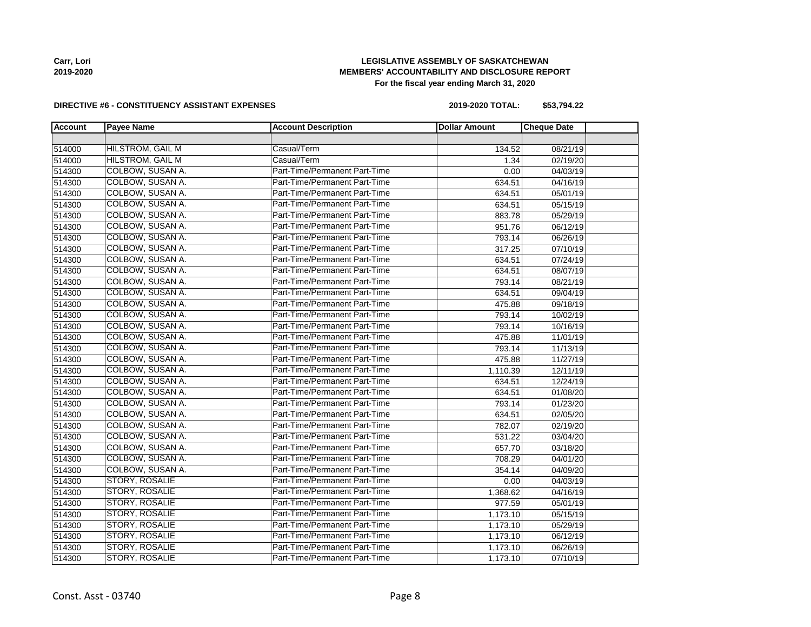# **LEGISLATIVE ASSEMBLY OF SASKATCHEWAN MEMBERS' ACCOUNTABILITY AND DISCLOSURE REPORT For the fiscal year ending March 31, 2020**

#### **DIRECTIVE #6 - CONSTITUENCY ASSISTANT EXPENSES**

**2019-2020 TOTAL: \$53,794.22**

| <b>Account</b> | <b>Payee Name</b>       | <b>Account Description</b>    | <b>Dollar Amount</b> | <b>Cheque Date</b> |  |
|----------------|-------------------------|-------------------------------|----------------------|--------------------|--|
|                |                         |                               |                      |                    |  |
| 514000         | <b>HILSTROM, GAIL M</b> | Casual/Term                   | 134.52               | 08/21/19           |  |
| 514000         | <b>HILSTROM, GAIL M</b> | Casual/Term                   | 1.34                 | 02/19/20           |  |
| 514300         | COLBOW, SUSAN A.        | Part-Time/Permanent Part-Time | 0.00                 | 04/03/19           |  |
| 514300         | COLBOW, SUSAN A.        | Part-Time/Permanent Part-Time | 634.51               | 04/16/19           |  |
| 514300         | COLBOW, SUSAN A.        | Part-Time/Permanent Part-Time | 634.51               | 05/01/19           |  |
| 514300         | COLBOW, SUSAN A.        | Part-Time/Permanent Part-Time | 634.51               | 05/15/19           |  |
| 514300         | COLBOW, SUSAN A.        | Part-Time/Permanent Part-Time | 883.78               | 05/29/19           |  |
| 514300         | COLBOW, SUSAN A.        | Part-Time/Permanent Part-Time | 951.76               | 06/12/19           |  |
| 514300         | COLBOW, SUSAN A.        | Part-Time/Permanent Part-Time | 793.14               | 06/26/19           |  |
| 514300         | COLBOW, SUSAN A.        | Part-Time/Permanent Part-Time | 317.25               | 07/10/19           |  |
| 514300         | COLBOW, SUSAN A.        | Part-Time/Permanent Part-Time | 634.51               | 07/24/19           |  |
| 514300         | COLBOW, SUSAN A.        | Part-Time/Permanent Part-Time | 634.51               | 08/07/19           |  |
| 514300         | COLBOW, SUSAN A.        | Part-Time/Permanent Part-Time | 793.14               | 08/21/19           |  |
| 514300         | COLBOW, SUSAN A.        | Part-Time/Permanent Part-Time | 634.51               | 09/04/19           |  |
| 514300         | <b>COLBOW, SUSAN A.</b> | Part-Time/Permanent Part-Time | 475.88               | 09/18/19           |  |
| 514300         | COLBOW, SUSAN A.        | Part-Time/Permanent Part-Time | 793.14               | 10/02/19           |  |
| 514300         | COLBOW, SUSAN A.        | Part-Time/Permanent Part-Time | 793.14               | 10/16/19           |  |
| 514300         | COLBOW, SUSAN A.        | Part-Time/Permanent Part-Time | 475.88               | 11/01/19           |  |
| 514300         | COLBOW, SUSAN A.        | Part-Time/Permanent Part-Time | 793.14               | 11/13/19           |  |
| 514300         | COLBOW, SUSAN A.        | Part-Time/Permanent Part-Time | 475.88               | 11/27/19           |  |
| 514300         | COLBOW, SUSAN A.        | Part-Time/Permanent Part-Time | 1,110.39             | 12/11/19           |  |
| 514300         | COLBOW, SUSAN A.        | Part-Time/Permanent Part-Time | 634.51               | 12/24/19           |  |
| 514300         | COLBOW, SUSAN A.        | Part-Time/Permanent Part-Time | 634.51               | 01/08/20           |  |
| 514300         | COLBOW, SUSAN A.        | Part-Time/Permanent Part-Time | 793.14               | 01/23/20           |  |
| 514300         | COLBOW, SUSAN A.        | Part-Time/Permanent Part-Time | 634.51               | 02/05/20           |  |
| 514300         | <b>COLBOW, SUSAN A.</b> | Part-Time/Permanent Part-Time | 782.07               | 02/19/20           |  |
| 514300         | COLBOW, SUSAN A.        | Part-Time/Permanent Part-Time | 531.22               | 03/04/20           |  |
| 514300         | COLBOW, SUSAN A.        | Part-Time/Permanent Part-Time | 657.70               | 03/18/20           |  |
| 514300         | COLBOW, SUSAN A.        | Part-Time/Permanent Part-Time | 708.29               | 04/01/20           |  |
| 514300         | COLBOW, SUSAN A.        | Part-Time/Permanent Part-Time | 354.14               | 04/09/20           |  |
| 514300         | STORY, ROSALIE          | Part-Time/Permanent Part-Time | 0.00                 | 04/03/19           |  |
| 514300         | STORY, ROSALIE          | Part-Time/Permanent Part-Time | 1,368.62             | 04/16/19           |  |
| 514300         | <b>STORY, ROSALIE</b>   | Part-Time/Permanent Part-Time | 977.59               | 05/01/19           |  |
| 514300         | STORY, ROSALIE          | Part-Time/Permanent Part-Time | 1,173.10             | 05/15/19           |  |
| 514300         | STORY, ROSALIE          | Part-Time/Permanent Part-Time | 1,173.10             | 05/29/19           |  |
| 514300         | <b>STORY, ROSALIE</b>   | Part-Time/Permanent Part-Time | 1,173.10             | 06/12/19           |  |
| 514300         | <b>STORY, ROSALIE</b>   | Part-Time/Permanent Part-Time | 1,173.10             | 06/26/19           |  |
| 514300         | STORY, ROSALIE          | Part-Time/Permanent Part-Time | 1,173.10             | 07/10/19           |  |